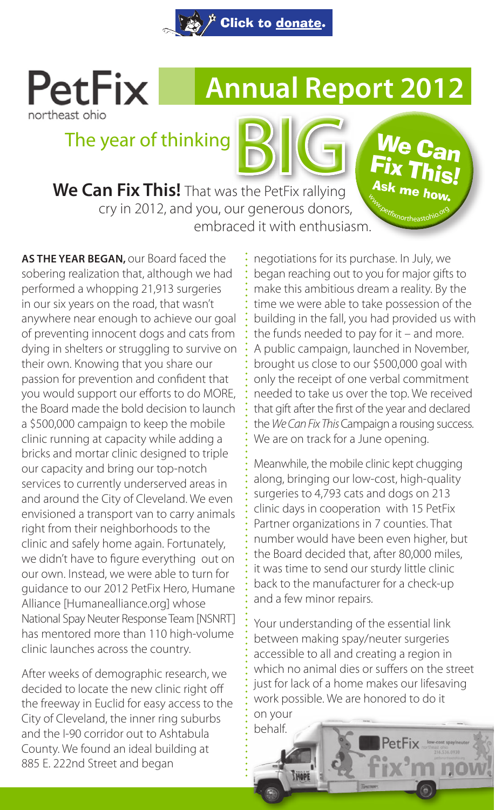

# **PetFix** northeast ohio

# **Annual Report 2012**

We Can **Fix This!** Ask me how. Www.petfixnortheastohio.org

# The year of thinking

**We Can Fix This!** That was the PetFix rallying BIG cry in 2012, and you, our generous donors, embraced it with enthusiasm.

**AS THE YEAR BEGAN,** our Board faced the sobering realization that, although we had performed a whopping 21,913 surgeries in our six years on the road, that wasn't anywhere near enough to achieve our goal of preventing innocent dogs and cats from dying in shelters or struggling to survive on their own. Knowing that you share our passion for prevention and confident that you would support our efforts to do MORE, the Board made the bold decision to launch a \$500,000 campaign to keep the mobile clinic running at capacity while adding a bricks and mortar clinic designed to triple our capacity and bring our top-notch services to currently underserved areas in and around the City of Cleveland. We even envisioned a transport van to carry animals right from their neighborhoods to the clinic and safely home again. Fortunately, we didn't have to figure everything out on our own. Instead, we were able to turn for guidance to our 2012 PetFix Hero, Humane Alliance [Humanealliance.org] whose National Spay Neuter Response Team [NSNRT] has mentored more than 110 high-volume clinic launches across the country.

After weeks of demographic research, we decided to locate the new clinic right off the freeway in Euclid for easy access to the City of Cleveland, the inner ring suburbs and the I-90 corridor out to Ashtabula County. We found an ideal building at 885 E. 222nd Street and began

negotiations for its purchase. In July, we began reaching out to you for major gifts to make this ambitious dream a reality. By the time we were able to take possession of the building in the fall, you had provided us with the funds needed to pay for it – and more. A public campaign, launched in November, brought us close to our \$500,000 goal with only the receipt of one verbal commitment needed to take us over the top. We received that gift after the first of the year and declared the *We Can Fix This* Campaign a rousing success. We are on track for a June opening.

Meanwhile, the mobile clinic kept chugging along, bringing our low-cost, high-quality surgeries to 4,793 cats and dogs on 213 clinic days in cooperation with 15 PetFix Partner organizations in 7 counties. That number would have been even higher, but the Board decided that, after 80,000 miles, it was time to send our sturdy little clinic back to the manufacturer for a check-up and a few minor repairs.

Your understanding of the essential link between making spay/neuter surgeries accessible to all and creating a region in which no animal dies or suffers on the street just for lack of a home makes our lifesaving work possible. We are honored to do it on your

behalf.

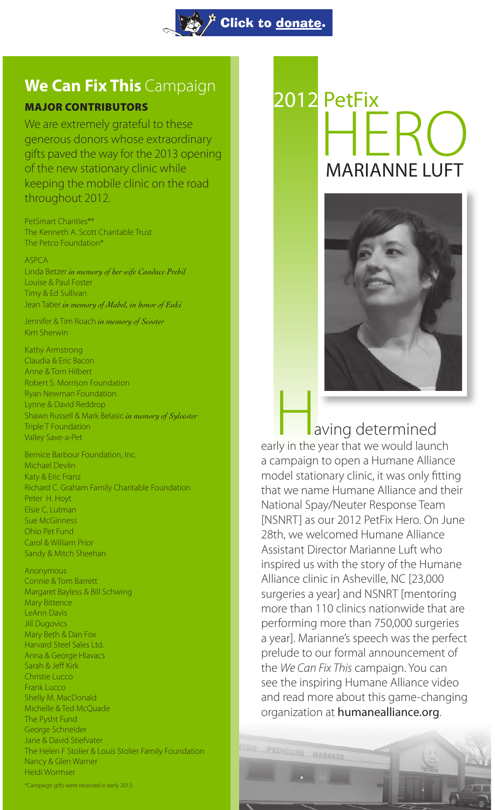

# **We Can Fix This** Campaign

## MAJOR CONTRIBUTORS

We are extremely grateful to these generous donors whose extraordinary gifts paved the way for the 2013 opening of the new stationary clinic while keeping the mobile clinic on the road throughout 2012.

PetSmart Charities®\* The Kenneth A. Scott Charitable Trust The Petco Foundation\*

ASPCA Linda Betzer *in memory of her wife Candace Prebil*  Louise & Paul Foster Timy & Ed Sullivan Jean Taber *in memory of Mabel, in honor of Euki*

Jennifer & Tim Roach *in memory of Scooter* Kim Sherwin

Kathy Armstrong Claudia & Eric Bacon Anne & Tom Hilbert Robert S. Morrison Foundation Ryan Newman Foundation Lynne & David Reddrop Shawn Russell & Mark Belasic *in memory of Sylvester*  Triple T Foundation Valley Save-a-Pet

Bernice Barbour Foundation, Inc. Michael Devlin Katy & Eric Franz Richard C. Graham Family Charitable Foundation Peter H. Hoyt Elsie C. Lutman Sue McGinness Ohio Pet Fund Carol & William Prior Sandy & Mitch Sheehan

Anonymous Connie & Tom Barrett Margaret Bayless & Bill Schwing Mary Bittence LeAnn Davis Jill Dugovics Mary Beth & Dan Fox Harvard Steel Sales Ltd. Anna & George Hlavacs Sarah & Jeff Kirk Christie Lucco Frank Lucco Shelly M. MacDonald Michelle & Ted McQuade The Pysht Fund George Schneider Jane & David Stiefvater The Helen F Stolier & Louis Stolier Family Foundation Nancy & Glen Warner Heidi Wormser \*Campaign gifts were received in early 2013

# 2012 PetFix HFRO MARIANNE LUFT



 aving determined **Example 18 A**<br>aving determined<br>early in the year that we would launch a campaign to open a Humane Alliance model stationary clinic, it was only fitting that we name Humane Alliance and their National Spay/Neuter Response Team [NSNRT] as our 2012 PetFix Hero. On June 28th, we welcomed Humane Alliance Assistant Director Marianne Luft who inspired us with the story of the Humane Alliance clinic in Asheville, NC [23,000 surgeries a year] and NSNRT [mentoring more than 110 clinics nationwide that are performing more than 750,000 surgeries a year]. Marianne's speech was the perfect prelude to our formal announcement of the *We Can Fix This* campaign. You can see the inspiring Humane Alliance video and read more about this game-changing organization at humanealliance.org.

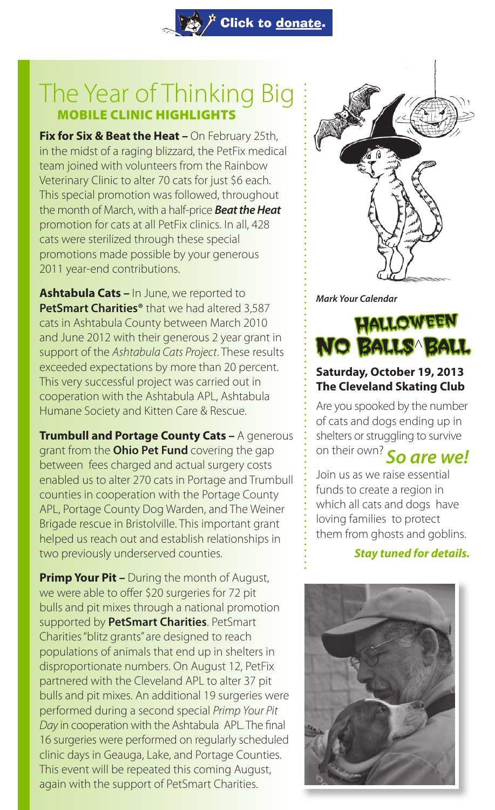# The Year of Thinking Big MOBILE CLINIC HIGHLIGHTS

 $\mathring{F}$  Click to <u>[donate](https://npo.networkforgood.org/Donate/Donate.aspx?npoSubscriptionId=1001698)</u>.

**Fix for Six & Beat the Heat - On February 25th,** in the midst of a raging blizzard, the PetFix medical team joined with volunteers from the Rainbow Veterinary Clinic to alter 70 cats for just \$6 each. This special promotion was followed, throughout the month of March, with a half-price *Beat the Heat*  promotion for cats at all PetFix clinics. In all, 428 cats were sterilized through these special promotions made possible by your generous 2011 year-end contributions.

**Ashtabula Cats –** In June, we reported to **PetSmart Charities®** that we had altered 3,587 cats in Ashtabula County between March 2010 and June 2012 with their generous 2 year grant in support of the *Ashtabula Cats Project*. These results exceeded expectations by more than 20 percent. This very successful project was carried out in cooperation with the Ashtabula APL, Ashtabula Humane Society and Kitten Care & Rescue.

**Trumbull and Portage County Cats –** A generous grant from the **Ohio Pet Fund** covering the gap between fees charged and actual surgery costs enabled us to alter 270 cats in Portage and Trumbull counties in cooperation with the Portage County APL, Portage County Dog Warden, and The Weiner Brigade rescue in Bristolville. This important grant helped us reach out and establish relationships in two previously underserved counties.

**Primp Your Pit –** During the month of August, we were able to offer \$20 surgeries for 72 pit bulls and pit mixes through a national promotion supported by **PetSmart Charities**. PetSmart Charities "blitz grants" are designed to reach populations of animals that end up in shelters in disproportionate numbers. On August 12, PetFix partnered with the Cleveland APL to alter 37 pit bulls and pit mixes. An additional 19 surgeries were performed during a second special *Primp Your Pit Day* in cooperation with the Ashtabula APL. The final 16 surgeries were performed on regularly scheduled clinic days in Geauga, Lake, and Portage Counties. This event will be repeated this coming August, again with the support of PetSmart Charities.



*Mark Your Calendar*



## **Saturday, October 19, 2013 The Cleveland Skating Club**

Are you spooked by the number of cats and dogs ending up in shelters or struggling to survive on their own? *So are we!*

Join us as we raise essential funds to create a region in which all cats and dogs have loving families to protect them from ghosts and goblins.

### *Stay tuned for details.*

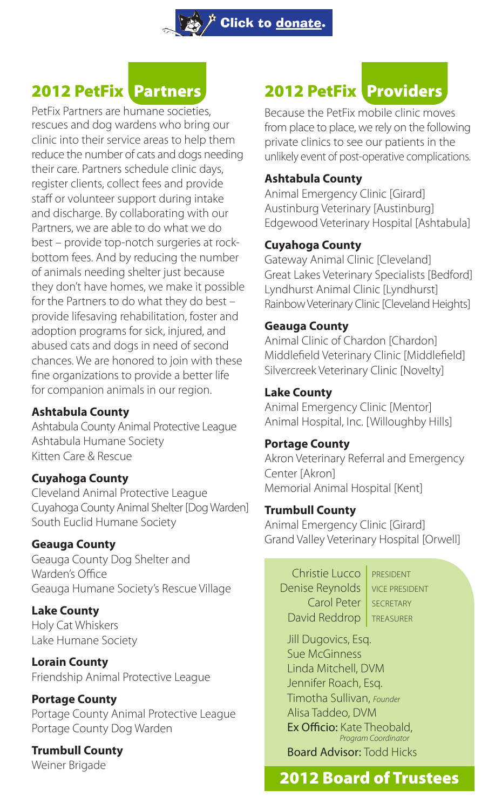# 2012 PetFix Partners

PetFix Partners are humane societies, rescues and dog wardens who bring our clinic into their service areas to help them reduce the number of cats and dogs needing their care. Partners schedule clinic days, register clients, collect fees and provide staff or volunteer support during intake and discharge. By collaborating with our Partners, we are able to do what we do best – provide top-notch surgeries at rockbottom fees. And by reducing the number of animals needing shelter just because they don't have homes, we make it possible for the Partners to do what they do best – provide lifesaving rehabilitation, foster and adoption programs for sick, injured, and abused cats and dogs in need of second chances. We are honored to join with these fine organizations to provide a better life for companion animals in our region.

## **Ashtabula County**

Ashtabula County Animal Protective League Ashtabula Humane Society Kitten Care & Rescue

## **Cuyahoga County**

Cleveland Animal Protective League Cuyahoga County Animal Shelter [Dog Warden] South Euclid Humane Society

### **Geauga County**

Geauga County Dog Shelter and Warden's Office Geauga Humane Society's Rescue Village

**Lake County** Holy Cat Whiskers Lake Humane Society

**Lorain County** Friendship Animal Protective League

#### **Portage County**  Portage County Animal Protective League Portage County Dog Warden

# **Trumbull County**

Weiner Brigade

# 2012 PetFix Providers

Because the PetFix mobile clinic moves from place to place, we rely on the following private clinics to see our patients in the unlikely event of post-operative complications.

## **Ashtabula County**

Animal Emergency Clinic [Girard] Austinburg Veterinary [Austinburg] Edgewood Veterinary Hospital [Ashtabula]

## **Cuyahoga County**

Gateway Animal Clinic [Cleveland] Great Lakes Veterinary Specialists [Bedford] Lyndhurst Animal Clinic [Lyndhurst] Rainbow Veterinary Clinic [Cleveland Heights]

## **Geauga County**

Animal Clinic of Chardon [Chardon] Middlefield Veterinary Clinic [Middlefield] Silvercreek Veterinary Clinic [Novelty]

## **Lake County**

Animal Emergency Clinic [Mentor] Animal Hospital, Inc. [Willoughby Hills]

### **Portage County**

Akron Veterinary Referral and Emergency Center [Akron] Memorial Animal Hospital [Kent]

## **Trumbull County**

Animal Emergency Clinic [Girard] Grand Valley Veterinary Hospital [Orwell]

Christie Lucco | PRESIDENT Denise Reynolds | VICE PRESIDENT Carol Peter SECRETARY David Reddrop | TREASURER

Jill Dugovics, Esq. Sue McGinness Linda Mitchell, DVM Jennifer Roach, Esq. Timotha Sullivan, *Founder* Alisa Taddeo, DVM Ex Officio: Kate Theobald,  *Program Coordinator* Board Advisor: Todd Hicks

## 2012 Board of Trustees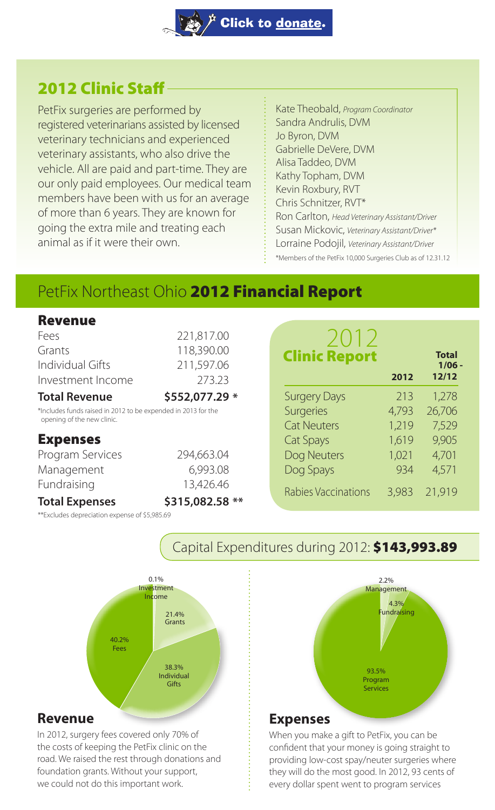## 2012 Clinic Staff

PetFix surgeries are performed by registered veterinarians assisted by licensed veterinary technicians and experienced veterinary assistants, who also drive the vehicle. All are paid and part-time. They are our only paid employees. Our medical team members have been with us for an average of more than 6 years. They are known for going the extra mile and treating each animal as if it were their own.

Kate Theobald, *Program Coordinator* Sandra Andrulis, DVM Jo Byron, DVM Gabrielle DeVere, DVM Alisa Taddeo, DVM Kathy Topham, DVM Kevin Roxbury, RVT Chris Schnitzer, RVT\* Ron Carlton, *Head Veterinary Assistant/Driver* Susan Mickovic, *Veterinary Assistant/Driver\** Lorraine Podojil, *Veterinary Assistant/Driver* \*Members of the PetFix 10,000 Surgeries Club as of 12.31.12

**Total**

 **1/06 - 12/12**

213 1,278 Surgeries 4,793 26,706 1,219 7,529 1,619 9,905 1,021 4,701 934 4,571 8,983 21,919

**2012**

# PetFix Northeast Ohio 2012 Financial Report

| Revenue                                                                                     |                 |                      |  |
|---------------------------------------------------------------------------------------------|-----------------|----------------------|--|
| Fees                                                                                        | 221,817.00      | 2012                 |  |
| Grants                                                                                      | 118,390.00      | <b>Clinic Report</b> |  |
| Individual Gifts                                                                            | 211,597.06      |                      |  |
| Investment Income                                                                           | 273.23          |                      |  |
| <b>Total Revenue</b>                                                                        | \$552,077.29 *  | <b>Surgery Days</b>  |  |
| *Includes funds raised in 2012 to be expended in 2013 for the<br>opening of the new clinic. |                 | <b>Surgeries</b>     |  |
|                                                                                             |                 | <b>Cat Neuters</b>   |  |
| <b>Expenses</b>                                                                             |                 | Cat Spays            |  |
| Program Services                                                                            | 294,663.04      | Dog Neuters          |  |
| Management                                                                                  | 6,993.08        | Dog Spays            |  |
| Fundraising                                                                                 | 13,426.46       | Rabies Vaccinations  |  |
| <b>Total Expenses</b>                                                                       | \$315,082.58 ** |                      |  |
|                                                                                             |                 |                      |  |

\*\*Excludes depreciation expense of \$5,985.69



### **Revenue**

In 2012, surgery fees covered only 70% of the costs of keeping the PetFix clinic on the road. We raised the rest through donations and foundation grants. Without your support, we could not do this important work.



#### **Expenses**

Capital Expenditures during 2012: \$143,993.89

When you make a gift to PetFix, you can be confident that your money is going straight to providing low-cost spay/neuter surgeries where they will do the most good. In 2012, 93 cents of every dollar spent went to program services